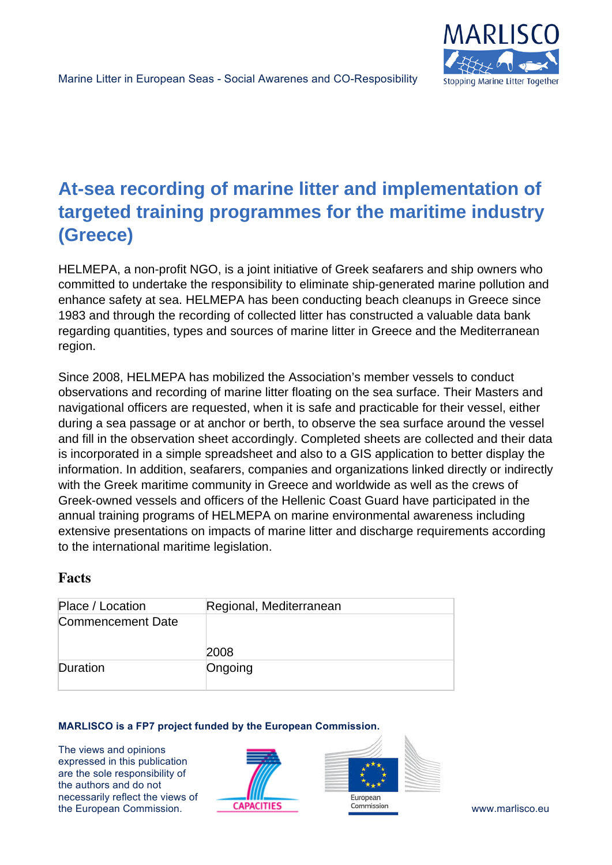

# **At-sea recording of marine litter and implementation of targeted training programmes for the maritime industry (Greece)**

HELMEPA, a non-profit NGO, is a joint initiative of Greek seafarers and ship owners who committed to undertake the responsibility to eliminate ship-generated marine pollution and enhance safety at sea. HELMEPA has been conducting beach cleanups in Greece since 1983 and through the recording of collected litter has constructed a valuable data bank regarding quantities, types and sources of marine litter in Greece and the Mediterranean region.

Since 2008, HELMEPA has mobilized the Association's member vessels to conduct observations and recording of marine litter floating on the sea surface. Their Masters and navigational officers are requested, when it is safe and practicable for their vessel, either during a sea passage or at anchor or berth, to observe the sea surface around the vessel and fill in the observation sheet accordingly. Completed sheets are collected and their data is incorporated in a simple spreadsheet and also to a GIS application to better display the information. In addition, seafarers, companies and organizations linked directly or indirectly with the Greek maritime community in Greece and worldwide as well as the crews of Greek-owned vessels and officers of the Hellenic Coast Guard have participated in the annual training programs of HELMEPA on marine environmental awareness including extensive presentations on impacts of marine litter and discharge requirements according to the international maritime legislation.

### **Facts**

| Place / Location         | Regional, Mediterranean |
|--------------------------|-------------------------|
| <b>Commencement Date</b> |                         |
|                          | 2008                    |
| Duration                 | Ongoing                 |

### **MARLISCO is a FP7 project funded by the European Commission.**

The views and opinions expressed in this publication are the sole responsibility of the authors and do not necessarily reflect the views of the European Commission. The CAPACITIES Commission Commission www.marlisco.eu



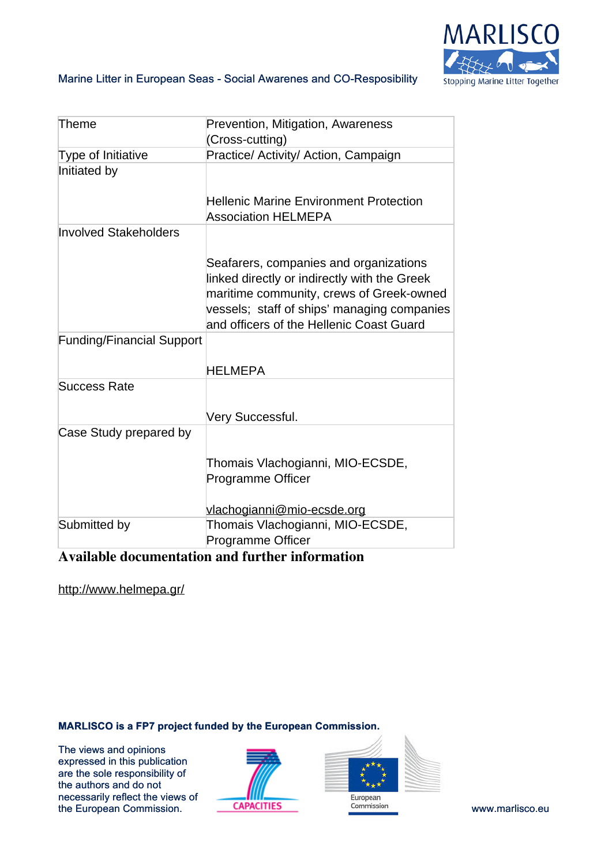

### Marine Litter in European Seas - Social Awarenes and CO-Resposibility

| Theme                            | Prevention, Mitigation, Awareness<br>(Cross-cutting)                                                                                                                                                                          |
|----------------------------------|-------------------------------------------------------------------------------------------------------------------------------------------------------------------------------------------------------------------------------|
| Type of Initiative               | Practice/ Activity/ Action, Campaign                                                                                                                                                                                          |
| Initiated by                     | <b>Hellenic Marine Environment Protection</b><br><b>Association HELMEPA</b>                                                                                                                                                   |
| <b>Involved Stakeholders</b>     | Seafarers, companies and organizations<br>linked directly or indirectly with the Greek<br>maritime community, crews of Greek-owned<br>vessels; staff of ships' managing companies<br>and officers of the Hellenic Coast Guard |
| <b>Funding/Financial Support</b> | <b>HELMEPA</b>                                                                                                                                                                                                                |
| <b>Success Rate</b>              |                                                                                                                                                                                                                               |
|                                  | Very Successful.                                                                                                                                                                                                              |
| Case Study prepared by           | Thomais Vlachogianni, MIO-ECSDE,<br><b>Programme Officer</b><br>vlachogianni@mio-ecsde.org                                                                                                                                    |
| Submitted by                     | Thomais Vlachogianni, MIO-ECSDE,<br><b>Programme Officer</b>                                                                                                                                                                  |

## **Available documentation and further information**

<http://www.helmepa.gr/>

### **MARLISCO is a FP7 project funded by the European Commission.**

The views and opinions expressed in this publication are the sole responsibility of the authors and do not necessarily reflect the views of The European Commission. **CAPACITIES** Commission **COMMISSION COMMISSION** COMMISSION **COMMISSION** 



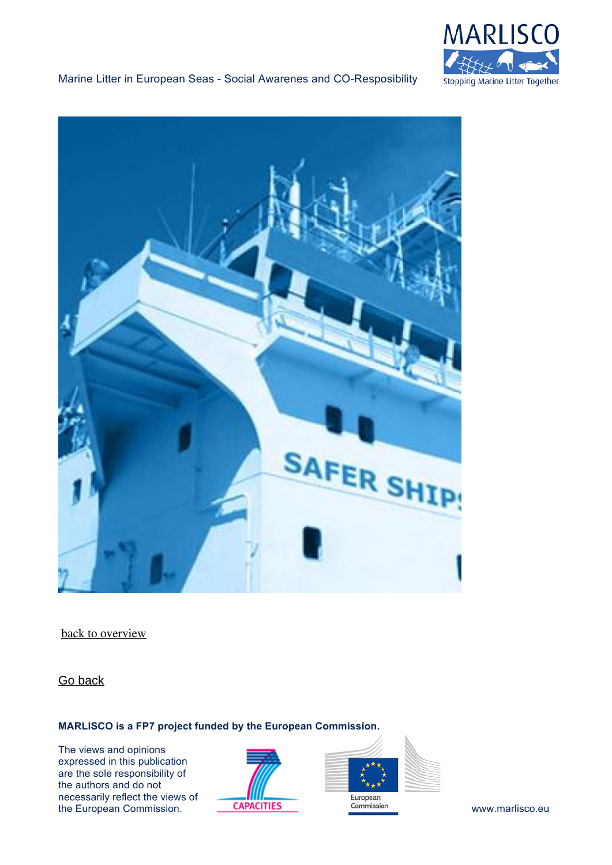

### Marine Litter in European Seas - Social Awarenes and CO-Resposibility



[back to overview](https://www.marlisco.eu/best-practices-map.en.html)

[Go back](https://www.marlisco.eu/at-sea-recording-of-marine-litter-and-implementation-of-targeted-training-programmes-for-the-maritime-industry.en.html?articles=at-sea-recording-of-marine-litter-and-implementation-of-targeted-training-programmes-for-the-maritime-industry&.html)

### **MARLISCO is a FP7 project funded by the European Commission.**

The views and opinions expressed in this publication are the sole responsibility of the authors and do not necessarily reflect the views of The European Commission. **CAPACITIES CAPACITIES COMMISSION COMMISSION COMMISSION WWW.marlisco.eu**